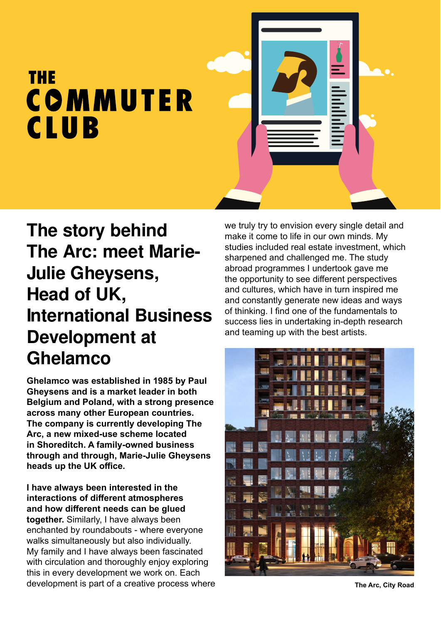## **THE** COMMUTER **CLUB**

## **The story behind The Arc: meet Marie-Julie Gheysens, Head of UK, International Business Development at Ghelamco**

**Ghelamco was established in 1985 by Paul Gheysens and is a market leader in both Belgium and Poland, with a strong presence across many other European countries. The company is currently developing The Arc, a new mixed-use scheme located in Shoreditch. A family-owned business through and through, Marie-Julie Gheysens heads up the UK office.** 

**I have always been interested in the interactions of different atmospheres and how different needs can be glued together.** Similarly, I have always been enchanted by roundabouts - where everyone walks simultaneously but also individually. My family and I have always been fascinated with circulation and thoroughly enjoy exploring this in every development we work on. Each development is part of a creative process where we truly try to envision every single detail and make it come to life in our own minds. My studies included real estate investment, which sharpened and challenged me. The study abroad programmes I undertook gave me the opportunity to see different perspectives and cultures, which have in turn inspired me and constantly generate new ideas and ways of thinking. I find one of the fundamentals to success lies in undertaking in-depth research and teaming up with the best artists.



**The Arc, City Road**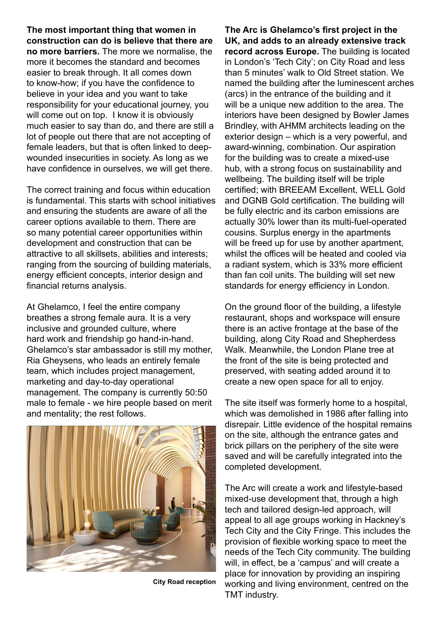**The most important thing that women in construction can do is believe that there are no more barriers.** The more we normalise, the more it becomes the standard and becomes easier to break through. It all comes down to know-how; if you have the confidence to believe in your idea and you want to take responsibility for your educational journey, you will come out on top. I know it is obviously much easier to say than do, and there are still a lot of people out there that are not accepting of female leaders, but that is often linked to deepwounded insecurities in society. As long as we have confidence in ourselves, we will get there.

The correct training and focus within education is fundamental. This starts with school initiatives and ensuring the students are aware of all the career options available to them. There are so many potential career opportunities within development and construction that can be attractive to all skillsets, abilities and interests; ranging from the sourcing of building materials, energy efficient concepts, interior design and financial returns analysis.

At Ghelamco, I feel the entire company breathes a strong female aura. It is a very inclusive and grounded culture, where hard work and friendship go hand-in-hand. Ghelamco's star ambassador is still my mother, Ria Gheysens, who leads an entirely female team, which includes project management, marketing and day-to-day operational management. The company is currently 50:50 male to female - we hire people based on merit and mentality; the rest follows.



**City Road reception**

**The Arc is Ghelamco's first project in the UK, and adds to an already extensive track record across Europe.** The building is located in London's 'Tech City'; on City Road and less than 5 minutes' walk to Old Street station. We named the building after the luminescent arches (arcs) in the entrance of the building and it will be a unique new addition to the area. The interiors have been designed by Bowler James Brindley, with AHMM architects leading on the exterior design – which is a very powerful, and award-winning, combination. Our aspiration for the building was to create a mixed-use hub, with a strong focus on sustainability and wellbeing. The building itself will be triple certified; with BREEAM Excellent, WELL Gold and DGNB Gold certification. The building will be fully electric and its carbon emissions are actually 30% lower than its multi-fuel-operated cousins. Surplus energy in the apartments will be freed up for use by another apartment, whilst the offices will be heated and cooled via a radiant system, which is 33% more efficient than fan coil units. The building will set new standards for energy efficiency in London.

On the ground floor of the building, a lifestyle restaurant, shops and workspace will ensure there is an active frontage at the base of the building, along City Road and Shepherdess Walk. Meanwhile, the London Plane tree at the front of the site is being protected and preserved, with seating added around it to create a new open space for all to enjoy.

The site itself was formerly home to a hospital, which was demolished in 1986 after falling into disrepair. Little evidence of the hospital remains on the site, although the entrance gates and brick pillars on the periphery of the site were saved and will be carefully integrated into the completed development.

The Arc will create a work and lifestyle-based mixed-use development that, through a high tech and tailored design-led approach, will appeal to all age groups working in Hackney's Tech City and the City Fringe. This includes the provision of flexible working space to meet the needs of the Tech City community. The building will, in effect, be a 'campus' and will create a place for innovation by providing an inspiring working and living environment, centred on the TMT industry.